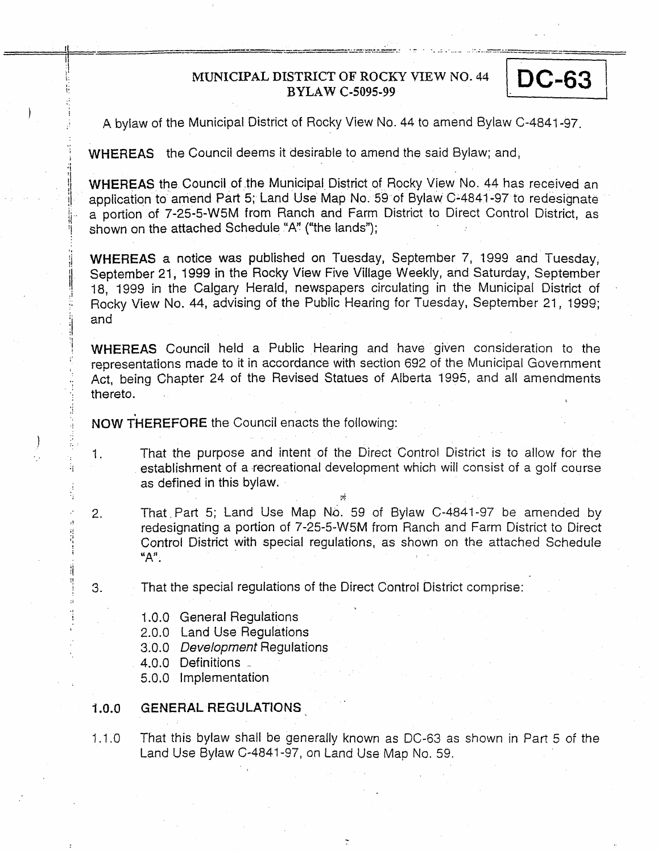## **MUNICIPAL DISTRICT OF'** ROCKY **VIEW** NO. 44 **BYLAW C-5095-99**

**DC-63** 

A bylaw of the Municipal District of Rocky View No. 44 to amend Bylaw C-4841-97.

WHEREAS the Council deems it desirable to amend the said Bylaw; and,

**WHEREAS** the Council of the Municipal District of Rocky View No. 44 has received an application to amend Part **5;** Land Use Map **No.** 59 of Bylaw C-4841-97 to redesignate a portion of 7-25-5-W5M from Ranch and Farm District to Direct Control District, as shown on **the** attached Schedule "A" ("the lands");

**WHEREAS a** notice **was** published on Tuesday, September 7, **I999** and Tuesday, September 21, 1999 in the Rocky View Five Village **Weekly,** and Saturday, September 18, 1999 in the Calgary Herald, newspapers circulating in the Municipal District of Rocky **View** No. 44, advising of the Public Hearing for Tuesday, September 21, 1999; and

**WHEREAS** Council held a Public Hearing and have given consideration to the representations made to it in accordance with section *692* of the Municipal Government *Act,* being Chapter 24 of the Revised Statues of Alberta 1995, and all amendments thereto.

**NOW THEREFORE** the Council enacts the following:

- 1. That the purpose and intent of the Direct Control District is to allow for the establishment of a recreational development which will consist of a golf course as defined in this bylaw.  $\frac{1}{\sqrt{2}}$
- *2.*  That,Part 5; Land Use Map No. 59 of Bylaw C-4841-97 be amended by redesignating a portion of 7-25-5-W5M from Ranch and Farm District to Direct Control District with special regulations, as shown on the attached Schedule "A".

*d7* 

- **3.**  That the special regulations of the Direct Control District comprise:
	- 1 *.O.O* General Regulations
	- *2.0.0* Land Use Regulations
	- **3.0.0** *De veloprnen t* Reg **u** I at io n s

I

4.0.0 Definitions -

*1.* 

1 i

 $I$  ; and  $I$  ; and  $I$ 

 $\epsilon_{\rm{eff}}$ 

**1** 

**1** 

Ï

5.0.0 Implementation

### $1.0.0$ **GENERAL REGULATIONS**

1.1.0 That this bylaw shall be generally known as DC-63 as shown in Part 5 of the Land Use Bylaw C-4841-97, on Land Use Map No. 59.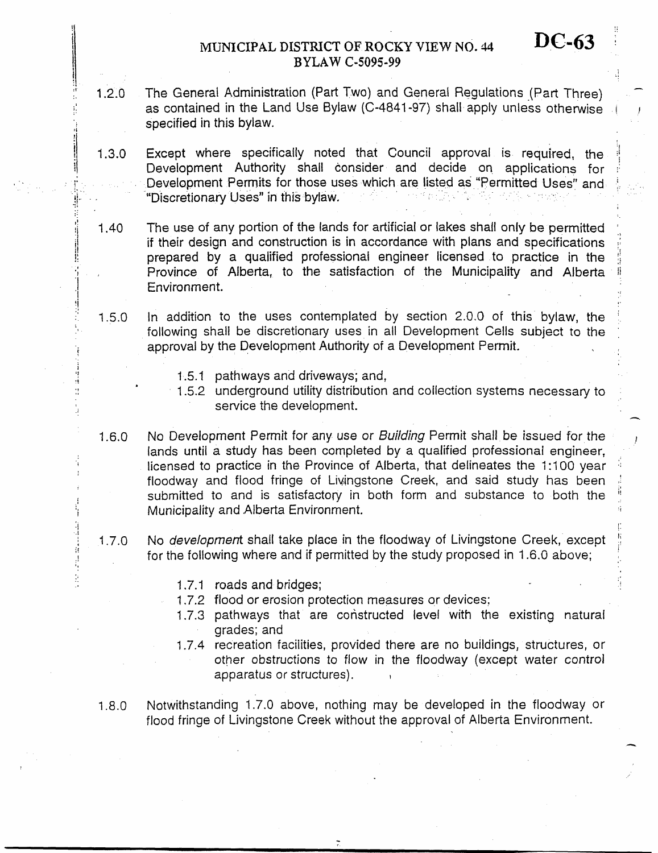# **MUNICIPAL DISTRICT OF ROCKY VIEW NO. 44** DC-63 **BYLAW C-5095-99**

1.2.0 - The General Administration (Part Two) and General Regulations (Part Three) **as** contained in the Land Use Bylaw (C-4841-97) shall **apply unless** otherwise specified in this bylaw.

**I** 

*IC-*

!' **I** 

- I **.3.0 Except** where specifically noted that Council approval is required, Development Authority shall consider and decide on applications for Development **Permits** for **those** uses which are listed as "Permitted Uses" "Discretionary **Uses"** in this bylaw.
- $1.40$ The use of any portion of the lands for artificial or lakes shall only be permitted **if** their design and construction **is** in accordance with **plans** and specifications prepared by a **qualified** professionai engineer licensed to practice in the Province of Alberta, to **the** satisfaction of the Municipality **and** Alberta Environment.
- 1.5.0 In addition to the uses contemplated by section 2.0.0 of this bylaw, the following shall be discretionary uses in all Development Cells subject to the **approval** by the Development Authority of a Development Permit,
	- 1.5.1 pathways and driveways; and,

**I.** 

*I* 

'i ti

!

**b** 

**I** 

**I .i**  *1*  i! **f** 

 $\ddot{z}$ 

- 1.5.2 underground utility distribution and collection systems necessary to service the development.
- 1.6.0 No Development Permit *for* any use or *Building* Permit shall be issued for the lands until a study **has** been completed by a qualified professional engineer, licensed to practice in the Province of Alberta, that delineates the 1:100 year floodway and flood fringe of Livingstone Creek, and said study has been submitted to and is satisfactory in both form and substance to both the Municipality and Alberta Environment.
- I *.7.0*  No *development* shall take place in the floodway of Livingstone Creek, except for the following where and if permitted by the study proposed in 1.6.G above;
	- 1.7.1 roads and **bridges;**
	- 1.7.2 flood or erosion protection measures or devices;
	- 1.7.3 pathways that are constructed level with the existing natural grades; and
	- 1.7.4 recreation facilities, provided there are no buildings, Structures, or other obstructions *to* flow in the floodway (except water control apparatus or structures). **<sup>I</sup>**
- 1.8.0 Notwithstanding 1.7.0 above, nothing may be developed in the floodway or flood fringe of Livingstone Creek without the approval of Alberta Environment.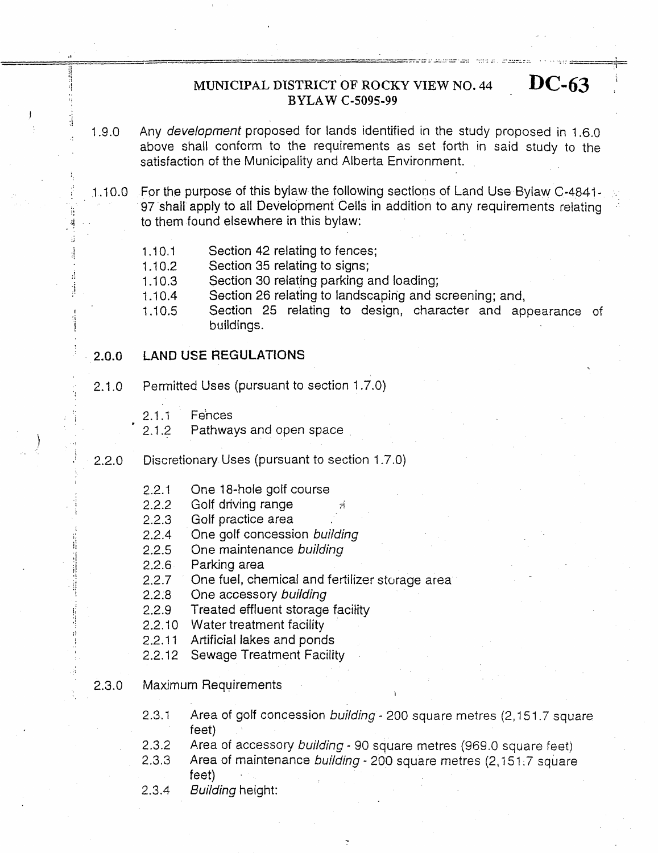# **MUNICIPAL DISTRICT OF ROCKY VIEW NO. 44 DC-63 ]BYLAW C-5095-99**

1.9.0 Any *development* proposed for lands identified in the study proposed in 1.6.0 above shall conform to the requirements as set forth in said study to the satisfaction *of* the Municipality and Alberta Environment.

.. 1.10.0 For the purpose of this bylaw the following sections of Land Use Bylaw C-4841-97 shall apply to all Development **Cells** in addition to any requirements relating to them found elsewhere in this bylaw:

- $1.10.1$ Section 42 relating to fences;
- 1 .I *0.2*  Section *35* relating to signs;
- 1 .I **0.3**  Section **30** relating parking and loading;
- I .I 0.4 Section *26* relating to landscaping and screening; and,

1 .I 0.5 Section 25 relating to design, character and appearance of buildings.

### **2.0.0 LAND US€ REGULATIONS**

- 2.1 .o Permitted **Uses** (pursuant to section 1.7.0)
	- 2.1.1 Fences
	- 2.1.2 Pathways and open space
- 2.2.0 Discretionary. Uses (pursuant to section 1.7.0)
	- 2.2.1 One 18-hole golf course
	- 2.2.2 Golf driving range
	- 2.2.3 Golf practice area
	- 2.2.4 One golf concession *building*
	- 2.2.5 One maintenance *building*

2.2.6 Parking area

*2.2.7*  One fuel, chemical and fertilizer storage area

2.2.8 One accessory *building* 

2.2.9 Treated effluent storage facility

- 2.2.10 Water treatment facility
- 2.2.11 Artificial lakes and ponds
- 2.2.12 Sewage Treatment Facility
- 2.3.0 Maximum Requirements
	- 2.3.1 Area of golf concession *building* - 200 square metres (2,15 1.7 square feet)

**I** 

- 2.3.2 Area of accessory *building* - 90 square metres (969.0 square feet)
- *2.3.3*  Area of maintenance *buifding* - 200 square metres (2,151.7 square
	- feet)
- 2.3.4 *Building* height: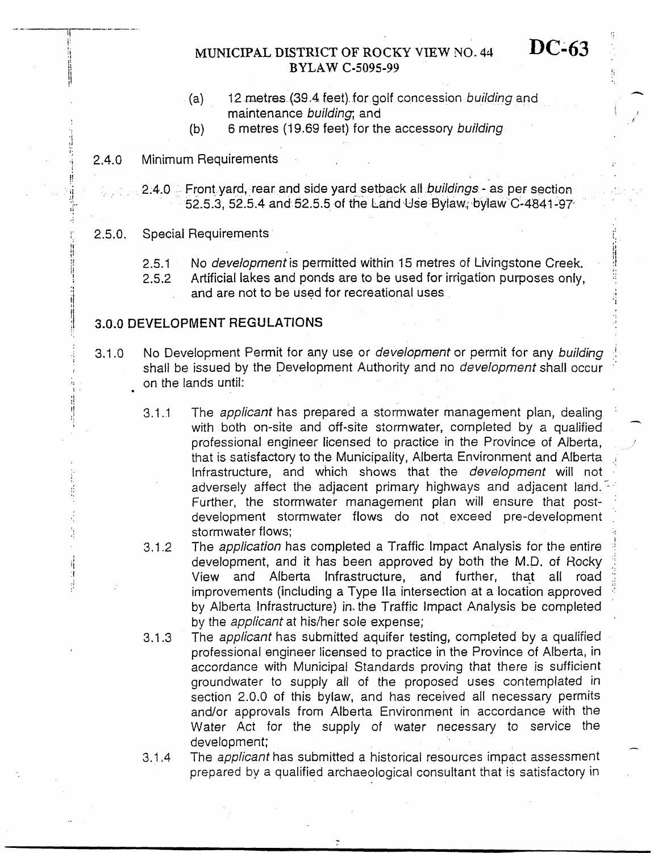# **MUNICIPAL** DISTRICT **OF** ROCKY **VIEW NO.** 44 *DC43*  **BYLAW C-5095-99**

- (a) 12 metres (39.4 feet) for golf concession *building* and maintenance *building;* and
- (b) 6 metres (1 9.69 feet) for the accessory *building*

### 2.4.0 Minimum Requirements

**!f** 

j.

أن

... , ' **ii** ' .. 2.4.0 Front yard, **rear** and side yard setback alt *buildings* -.as **per** section 52.5.3, 52.5.4 and 52.5.5 of the Land-Use Bylaw.; bylaw C-4841-97

### $2.5.0.$ Special Requirements

 $2.5.1$ **No** *development is* permitted within 15 metres of Livingstone Creek, 医皮肤性 计分类 医皮肤

- 2.5.2 Artificial lakes and ponds are to **be** used for irrigation purposes only,
	- and are not to be used for recreational uses

## **3.0.0** DEVELOPMENT **REG U LATlO NS**

- 3.1 .O No Development Permit for any **use** or *development* or permit for any *building* : shalt be issued by the Development Authority and no *development* shall occur ' on the lands until:
	- 3.1.1 The *applicant* has prepared a stormwater management plan, dealing with both on-site and off-site stormwater, completed by a qualified professional engineer licensed to practice in the Province of Alberta, that is satisfactory to the Municipaiity, Alberta Environment and Alberta Infrastructure, and which shows that the *development* will not adversely affect the adjacent primary highways and adjacent land. further, the stormwater management plan will ensure that postdevelopment stormwater flows do not exceed pre-development stormwater flows;
	- The *application* has completed a Traffic Impact Analysis for the entire development, and it has been approved by both the M.D. *of* Rocky .. View and Alberta Infrastructure, and further, that all road improvements (including a Type IIa intersection at a location approved by Alberta Infrastructure) in- the Traffic Impact Analysis be completed by the *applicant* at his/her sole expense; 3.1.2
	- The *applicant* has submitted aquifer testing, completed by a qualified professional engineer licensed to practice in the Province of Alberta, in accordance with Municipal Standards proving that there *is* sufficient groundwater to supply all *of* the proposed uses contemplated in section 2.0.0 of this bylaw, and has received all necessary permits and/or approvals from Alberta Environment in accordance with the Water Act for the supply of water necessary to service the development;<br>development;<br>The sanfigant has submitted a biotariaal reservess impact assessment 3.1.3
	- The *applicant* has submitted a historical resources impact assessment prepared by a qualified archaeological consultant that is satisfactory in 3.1.4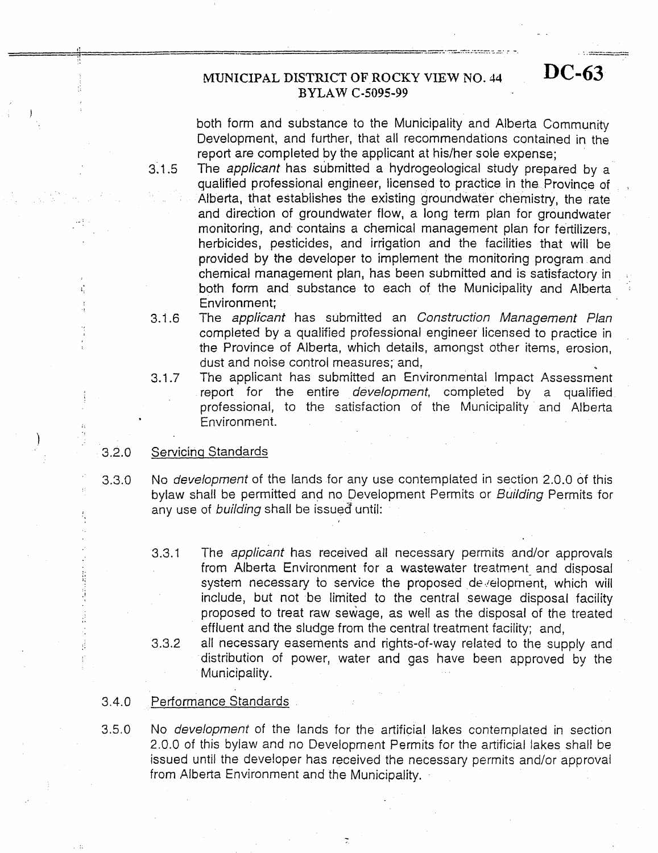,

.

# **MUNICIPAL DISTRICT OF' ROCKY VIEW NO.** 44 **DC-63 BYLAW C-5095-99**

both form and substance to the Municipality and Alberta Community Development, and further, that all recommendations contained in the report are completed by the applicant at his/her sole expense;

 $3.1.5$ The *applicant* has submitted a hydrogeological siudy prepared by a qualified professional engineer, licensed to practice in the Province of Alberta, that establishes the existing groundwater chemistry, the rate and direction of groundwater flow, a long term plan for groundwater monitoring, and. contains a chemical management plan for **fertilizers,**  herbicides, pesticides, and irrigation and the facilities that will be provided **by** the developer to implement the monitoring program and chemical management plan, has been submitted and is satisfactory in both form and substance *to* each of the Municipality and Alberta Environment;

- 3.1.6 The *applicant* has submitted an *Construction Management Plan*  completed by a qualified professional engineer licensed *to* practice in the Province *of* Alberta, which details, amongst other items, erosion, dust and noise control measures; and, ..
- 3.1.7 The applicant has submitted **an** Environmental Impact Assessment report for the entire *development,* completed by a qualified professional, to the satisfaction of the Municipality and Alberta Environment.

### **3.2.0** Servicinq Standards

**I** 

I

- **3.3.3** No *development* of the lands for any use contemplated in section 2.0.0 of this bylaw shall be permitted and no Development Permits or *Building* Permits for any use of *building* shall be issued until:
	- 3.3.1 The *applicant* has received all necessary permits and/or approvals from Alberta Environment for a wastewater treatment and disposal system necessary to service the proposed development, which will include, but not be limited *to* the central sewage disposal facility proposed to treat raw sewage, as well as the disposal of the treated effluent and the sludge from the central treatment facility; and,
	- all necessary easements and rights-of-way related to the supply and distribution of power, water and gas have been approved by the Municipality. *3.3.2*

### 3.4.0 Performance Standards

*3.5.0* No *development* of the lands for the artificial lakes contemplated in section 2.0.0 of this bylaw and no Development Permits for the artificial lakes shall be issued until the developer has received the necessary permits and/or approvai from Alberta Environment and the Municipality.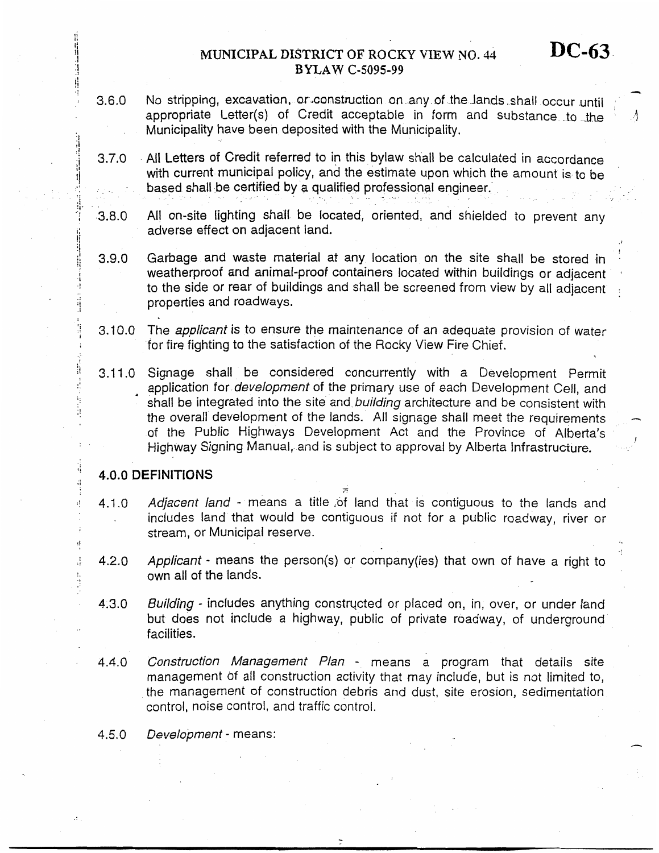### **MUNICIPAL DXSTRICT OF** ROCKY **VIEW YO.** 44 **BYLAW** *C-5095-99*

- **3.6.0**  No stripping, excavation, or construction on any of the lands shall occur until appropriate Letter(s) of Credit acceptable in form and substance to the Municipality have been deposited with the Municipality.
- *3.7.0*  All Letters of Credit referred to **in** this bylaw shall be calculated in accordance with current municipal policy, and the estimate upon which the amount is to be based shall be certified by **a** quaiified professional engineer.'
- *3.8.0*  All on-site lighting shall **be** located, oriented: and shielded to prevent any adverse effect on adjacent iand.
- **3.9.0**  Garbage and waste material at any location **on** the site shall be stored in : weatherproof **and** animal-proof containers located within buildings or adjacent **<sup>I</sup>** to the side or rear of buildings and shall be screened from view by all adjacent . properties and roadways.
- 3.10.0 The *applicant is* to ensure *the* maintenance *of* an adequate provision *of* water for **fire** fighting to the satisfaction of the Rocky View Fire Chief.
- 3.1 1 *.O*  Signage shall be considered concurrently with a Development Permit application for *development* of the primary use of each Development Cell, and shall be integrated into the site and *building* architecture and be consistent with the overall development of the lands. All signage shall meet the requirements of the Public Highways Development Act and the Province of Alberta's Highway Signing Manual, and is subject to approval by Alberta Infrastructure.

### **4.0.0 DEFINITIONS**

**I** 

 $\mathbf{d}$ 

**!I** 

Ĵ.

**1** 

4.1 *.O Adjacent land* - means a title .of land that is contiguous *to* the lands and includes land that would be contiguous if not for a public roadway, river or stream, or Municipal reserve.

- -

- 4.2.0 *Applicant* - means the person(s) or cornpany(ies) that own of have a right to own all of the lands.
- **4.3.0**  *Building* - includes anything constructed or placed on, in, over, or under land but does not include a highway, public of private roadway, of underground facilities.
- 4.4.0 *Construction Management Plan* - means a program that details **site**  management *of* all construction activity that may include, but is not limited to, the management of construction debris and dust, site erosion, sedimentation control, noise control, and traffic control.

4.5.0 *Development* - means: **n**  **DC-63** 

-

 $\Lambda$ 

**1**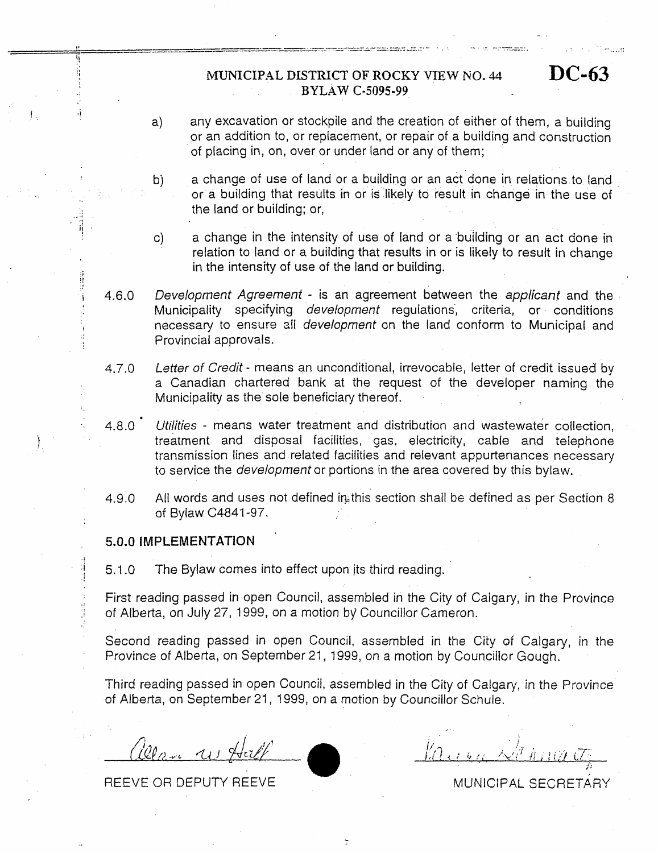## **iMUNXCIPAL** DISTRICT OF **ROCKY VIEW BYLAW C-5095-99**

NO. 44 **DC-63** 

.. . . .. **1.** 

 $\mathbb{Z}^{\mathbb{Z}}$ 

.. .. . \_\_. .- -..----\_ . . . . . ...~ \_\_...

- a) any excavation or stockpile and the creation of either of them, a building or an addition to, or replacement, or repair of a building and construction of placing in, on, over or under land or any of them;
- bj a change of **use** of land or a building or an act done in relations to [and or a building that results in or is likely to result in change in the use of the land or building; or,
- c) a change in the intensity of use of land or a building or an act done in relation to land or a building that **results** in or is likely to result in change in the intensity of use of the land or building.
- 4.6.0 *Development Agreement* - is an agreement between the *applicant* and the Municipality specifying *development* regulations , criteria, or conditions necessary to ensure z!l *development* on the land conform to Municipal and Provincial approvals.
- 4.7.0 *Letter of Credit* - means an unconditional, irrevocable, letter of credit issued by a Canadian chartered bank at the request of the developer naming the Municipality as the sole beneficiary thereof.
- 4.8.0 *Utilities* - means water treatment and distribution and wastewater collection, treatment and disposal facilities, gas, electricity, cable and telephone transmission lines and related facilities and relevant appurtenances necessary to service the *developmenfor* portions in the area covered by this bylaw.
- 4.9.0 All words and uses not defined in this section shall be defined as per Section 8 of Bylaw C4841-97.

## **5.0.0 IMPLEMENTATION**

i! **I\*** 

 $\mathbb{I}$  $\mathbb{Z}_+$  in

f ., **<sup>1</sup>**

5.1 .O The Bylaw comes into effect upon its third reading.

First reading passed in open Council, assembled in the City of Calgary, in the Province of Alberta, on July *27,* 1999, on a motion by Councillor Cameron.

Second reading passed in open Council, assembled in the City *of* Calgary, in the Province of Alberta, on September 21, 1999, on a motion by Councillor Gough.

Third reading passed in open Council, assembled in the City of Calgary, in the Province *of* Alberta, on September 21 , 1999, on a motion by Councillor Schule.

 $\mu$   $(1)$  He

REEVE OR DEPUTY REEVE

MUNICIPAL SECRETARY